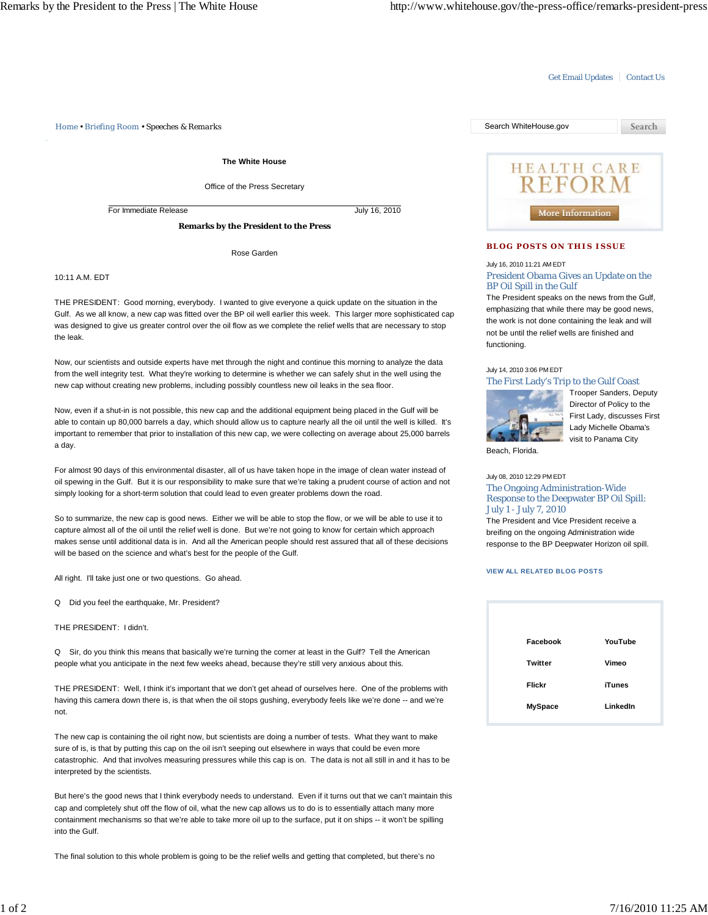## Get Email Updates | Contact Us

*Home • Briefing Room • Speeches & Remarks* Search WhiteHouse.gov

**The White House**

Office of the Press Secretary

For Immediate Release July 16, 2010

**Remarks by the President to the Press**

Rose Garden

10:11 A.M. EDT

THE PRESIDENT: Good morning, everybody. I wanted to give everyone a quick update on the situation in the Gulf. As we all know, a new cap was fitted over the BP oil well earlier this week. This larger more sophisticated cap was designed to give us greater control over the oil flow as we complete the relief wells that are necessary to stop the leak.

Now, our scientists and outside experts have met through the night and continue this morning to analyze the data from the well integrity test. What they're working to determine is whether we can safely shut in the well using the new cap without creating new problems, including possibly countless new oil leaks in the sea floor.

Now, even if a shut-in is not possible, this new cap and the additional equipment being placed in the Gulf will be able to contain up 80,000 barrels a day, which should allow us to capture nearly all the oil until the well is killed. It's important to remember that prior to installation of this new cap, we were collecting on average about 25,000 barrels a day.

For almost 90 days of this environmental disaster, all of us have taken hope in the image of clean water instead of oil spewing in the Gulf. But it is our responsibility to make sure that we're taking a prudent course of action and not simply looking for a short-term solution that could lead to even greater problems down the road.

So to summarize, the new cap is good news. Either we will be able to stop the flow, or we will be able to use it to capture almost all of the oil until the relief well is done. But we're not going to know for certain which approach makes sense until additional data is in. And all the American people should rest assured that all of these decisions will be based on the science and what's best for the people of the Gulf.

All right. I'll take just one or two questions. Go ahead.

Q Did you feel the earthquake, Mr. President?

THE PRESIDENT: I didn't.

Q Sir, do you think this means that basically we're turning the corner at least in the Gulf? Tell the American people what you anticipate in the next few weeks ahead, because they're still very anxious about this.

THE PRESIDENT: Well, I think it's important that we don't get ahead of ourselves here. One of the problems with having this camera down there is, is that when the oil stops gushing, everybody feels like we're done -- and we're not.

The new cap is containing the oil right now, but scientists are doing a number of tests. What they want to make sure of is, is that by putting this cap on the oil isn't seeping out elsewhere in ways that could be even more catastrophic. And that involves measuring pressures while this cap is on. The data is not all still in and it has to be interpreted by the scientists.

But here's the good news that I think everybody needs to understand. Even if it turns out that we can't maintain this cap and completely shut off the flow of oil, what the new cap allows us to do is to essentially attach many more containment mechanisms so that we're able to take more oil up to the surface, put it on ships -- it won't be spilling into the Gulf.

The final solution to this whole problem is going to be the relief wells and getting that completed, but there's no



## **BLOG POSTS ON THIS ISSUE**

July 16, 2010 11:21 AM EDT

President Obama Gives an Update on the BP Oil Spill in the Gulf

The President speaks on the news from the Gulf, emphasizing that while there may be good news, the work is not done containing the leak and will not be until the relief wells are finished and functioning.

July 14, 2010 3:06 PM EDT



Trooper Sanders, Deputy Director of Policy to the First Lady, discusses First Lady Michelle Obama's visit to Panama City

Beach, Florida.

July 08, 2010 12:29 PM EDT The Ongoing Administration-Wide Response to the Deepwater BP Oil Spill: July 1 - July 7, 2010

The President and Vice President receive a breifing on the ongoing Administration wide response to the BP Deepwater Horizon oil spill.

## **VIEW ALL RELATED BLOG POSTS**

| Facebook       | YouTube       |
|----------------|---------------|
| Twitter        | Vimeo         |
| <b>Flickr</b>  | <b>iTunes</b> |
| <b>MySpace</b> | LinkedIn      |
|                |               |